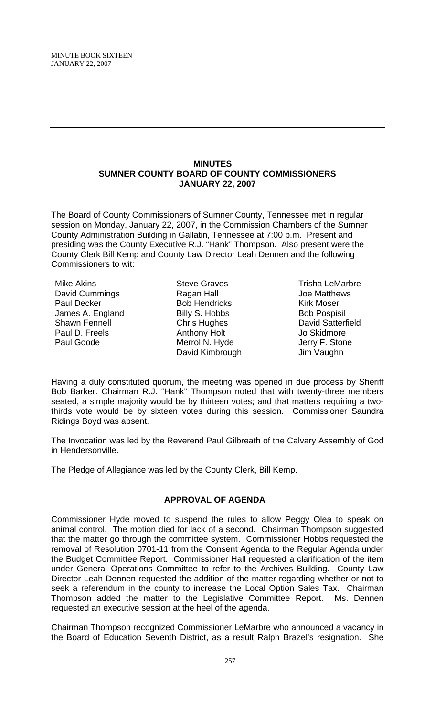#### **MINUTES SUMNER COUNTY BOARD OF COUNTY COMMISSIONERS JANUARY 22, 2007**

The Board of County Commissioners of Sumner County, Tennessee met in regular session on Monday, January 22, 2007, in the Commission Chambers of the Sumner County Administration Building in Gallatin, Tennessee at 7:00 p.m. Present and presiding was the County Executive R.J. "Hank" Thompson. Also present were the County Clerk Bill Kemp and County Law Director Leah Dennen and the following Commissioners to wit:

Mike Akins David Cummings Paul Decker James A. England Shawn Fennell Paul D. Freels Paul Goode

Steve Graves Ragan Hall Bob Hendricks Billy S. Hobbs Chris Hughes Anthony Holt Merrol N. Hyde David Kimbrough

Trisha LeMarbre Joe Matthews Kirk Moser **Bob Pospisil** David Satterfield Jo Skidmore Jerry F. Stone Jim Vaughn

Having a duly constituted quorum, the meeting was opened in due process by Sheriff Bob Barker. Chairman R.J. "Hank" Thompson noted that with twenty-three members seated, a simple majority would be by thirteen votes; and that matters requiring a twothirds vote would be by sixteen votes during this session. Commissioner Saundra Ridings Boyd was absent.

The Invocation was led by the Reverend Paul Gilbreath of the Calvary Assembly of God in Hendersonville.

The Pledge of Allegiance was led by the County Clerk, Bill Kemp.

# **APPROVAL OF AGENDA**

\_\_\_\_\_\_\_\_\_\_\_\_\_\_\_\_\_\_\_\_\_\_\_\_\_\_\_\_\_\_\_\_\_\_\_\_\_\_\_\_\_\_\_\_\_\_\_\_\_\_\_\_\_\_\_\_\_\_\_\_\_\_\_\_\_\_\_\_\_\_

Commissioner Hyde moved to suspend the rules to allow Peggy Olea to speak on animal control. The motion died for lack of a second. Chairman Thompson suggested that the matter go through the committee system. Commissioner Hobbs requested the removal of Resolution 0701-11 from the Consent Agenda to the Regular Agenda under the Budget Committee Report. Commissioner Hall requested a clarification of the item under General Operations Committee to refer to the Archives Building. County Law Director Leah Dennen requested the addition of the matter regarding whether or not to seek a referendum in the county to increase the Local Option Sales Tax. Chairman Thompson added the matter to the Legislative Committee Report. Ms. Dennen requested an executive session at the heel of the agenda.

Chairman Thompson recognized Commissioner LeMarbre who announced a vacancy in the Board of Education Seventh District, as a result Ralph Brazel's resignation. She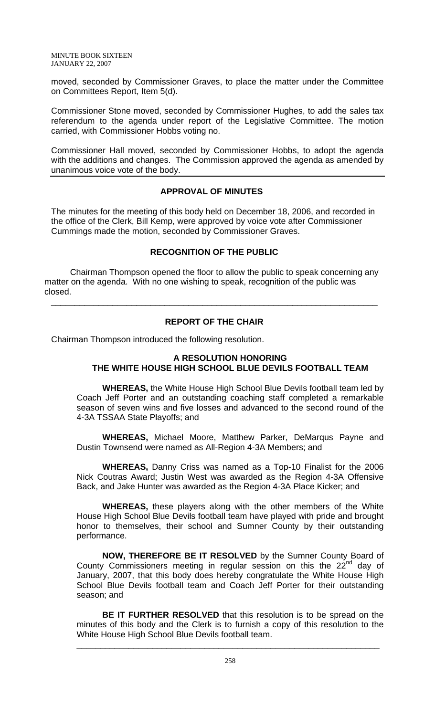MINUTE BOOK SIXTEEN JANUARY 22, 2007

moved, seconded by Commissioner Graves, to place the matter under the Committee on Committees Report, Item 5(d).

Commissioner Stone moved, seconded by Commissioner Hughes, to add the sales tax referendum to the agenda under report of the Legislative Committee. The motion carried, with Commissioner Hobbs voting no.

Commissioner Hall moved, seconded by Commissioner Hobbs, to adopt the agenda with the additions and changes. The Commission approved the agenda as amended by unanimous voice vote of the body.

## **APPROVAL OF MINUTES**

The minutes for the meeting of this body held on December 18, 2006, and recorded in the office of the Clerk, Bill Kemp, were approved by voice vote after Commissioner Cummings made the motion, seconded by Commissioner Graves.

## **RECOGNITION OF THE PUBLIC**

Chairman Thompson opened the floor to allow the public to speak concerning any matter on the agenda. With no one wishing to speak, recognition of the public was closed.

#### **REPORT OF THE CHAIR**

\_\_\_\_\_\_\_\_\_\_\_\_\_\_\_\_\_\_\_\_\_\_\_\_\_\_\_\_\_\_\_\_\_\_\_\_\_\_\_\_\_\_\_\_\_\_\_\_\_\_\_\_\_\_\_\_\_\_\_\_\_\_\_\_\_\_\_\_\_

Chairman Thompson introduced the following resolution.

## **A RESOLUTION HONORING THE WHITE HOUSE HIGH SCHOOL BLUE DEVILS FOOTBALL TEAM**

**WHEREAS,** the White House High School Blue Devils football team led by Coach Jeff Porter and an outstanding coaching staff completed a remarkable season of seven wins and five losses and advanced to the second round of the 4-3A TSSAA State Playoffs; and

**WHEREAS,** Michael Moore, Matthew Parker, DeMarqus Payne and Dustin Townsend were named as All-Region 4-3A Members; and

**WHEREAS,** Danny Criss was named as a Top-10 Finalist for the 2006 Nick Coutras Award; Justin West was awarded as the Region 4-3A Offensive Back, and Jake Hunter was awarded as the Region 4-3A Place Kicker; and

**WHEREAS,** these players along with the other members of the White House High School Blue Devils football team have played with pride and brought honor to themselves, their school and Sumner County by their outstanding performance.

**NOW, THEREFORE BE IT RESOLVED** by the Sumner County Board of County Commissioners meeting in regular session on this the  $22<sup>nd</sup>$  day of January, 2007, that this body does hereby congratulate the White House High School Blue Devils football team and Coach Jeff Porter for their outstanding season; and

**BE IT FURTHER RESOLVED** that this resolution is to be spread on the minutes of this body and the Clerk is to furnish a copy of this resolution to the White House High School Blue Devils football team.

\_\_\_\_\_\_\_\_\_\_\_\_\_\_\_\_\_\_\_\_\_\_\_\_\_\_\_\_\_\_\_\_\_\_\_\_\_\_\_\_\_\_\_\_\_\_\_\_\_\_\_\_\_\_\_\_\_\_\_\_\_\_\_\_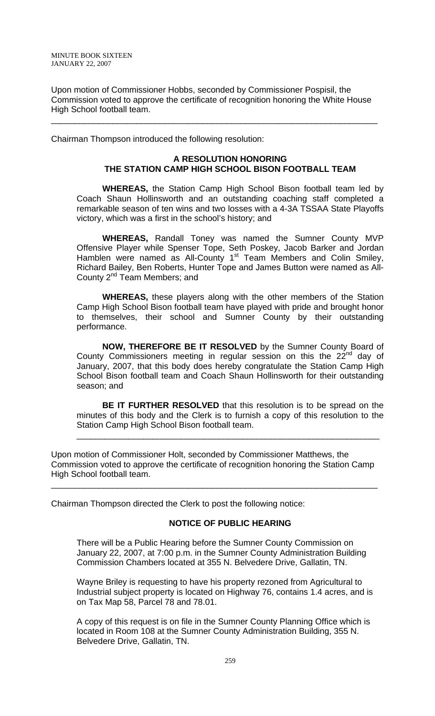Upon motion of Commissioner Hobbs, seconded by Commissioner Pospisil, the Commission voted to approve the certificate of recognition honoring the White House High School football team.

\_\_\_\_\_\_\_\_\_\_\_\_\_\_\_\_\_\_\_\_\_\_\_\_\_\_\_\_\_\_\_\_\_\_\_\_\_\_\_\_\_\_\_\_\_\_\_\_\_\_\_\_\_\_\_\_\_\_\_\_\_\_\_\_\_\_\_\_\_

Chairman Thompson introduced the following resolution:

# **A RESOLUTION HONORING THE STATION CAMP HIGH SCHOOL BISON FOOTBALL TEAM**

**WHEREAS,** the Station Camp High School Bison football team led by Coach Shaun Hollinsworth and an outstanding coaching staff completed a remarkable season of ten wins and two losses with a 4-3A TSSAA State Playoffs victory, which was a first in the school's history; and

**WHEREAS,** Randall Toney was named the Sumner County MVP Offensive Player while Spenser Tope, Seth Poskey, Jacob Barker and Jordan Hamblen were named as All-County 1<sup>st</sup> Team Members and Colin Smiley, Richard Bailey, Ben Roberts, Hunter Tope and James Button were named as All-County 2<sup>nd</sup> Team Members; and

**WHEREAS,** these players along with the other members of the Station Camp High School Bison football team have played with pride and brought honor to themselves, their school and Sumner County by their outstanding performance.

**NOW, THEREFORE BE IT RESOLVED** by the Sumner County Board of County Commissioners meeting in regular session on this the  $22<sup>nd</sup>$  day of January, 2007, that this body does hereby congratulate the Station Camp High School Bison football team and Coach Shaun Hollinsworth for their outstanding season; and

**BE IT FURTHER RESOLVED** that this resolution is to be spread on the minutes of this body and the Clerk is to furnish a copy of this resolution to the Station Camp High School Bison football team.

\_\_\_\_\_\_\_\_\_\_\_\_\_\_\_\_\_\_\_\_\_\_\_\_\_\_\_\_\_\_\_\_\_\_\_\_\_\_\_\_\_\_\_\_\_\_\_\_\_\_\_\_\_\_\_\_\_\_\_\_\_\_\_\_

Upon motion of Commissioner Holt, seconded by Commissioner Matthews, the Commission voted to approve the certificate of recognition honoring the Station Camp High School football team.

\_\_\_\_\_\_\_\_\_\_\_\_\_\_\_\_\_\_\_\_\_\_\_\_\_\_\_\_\_\_\_\_\_\_\_\_\_\_\_\_\_\_\_\_\_\_\_\_\_\_\_\_\_\_\_\_\_\_\_\_\_\_\_\_\_\_\_\_\_

Chairman Thompson directed the Clerk to post the following notice:

# **NOTICE OF PUBLIC HEARING**

There will be a Public Hearing before the Sumner County Commission on January 22, 2007, at 7:00 p.m. in the Sumner County Administration Building Commission Chambers located at 355 N. Belvedere Drive, Gallatin, TN.

Wayne Briley is requesting to have his property rezoned from Agricultural to Industrial subject property is located on Highway 76, contains 1.4 acres, and is on Tax Map 58, Parcel 78 and 78.01.

A copy of this request is on file in the Sumner County Planning Office which is located in Room 108 at the Sumner County Administration Building, 355 N. Belvedere Drive, Gallatin, TN.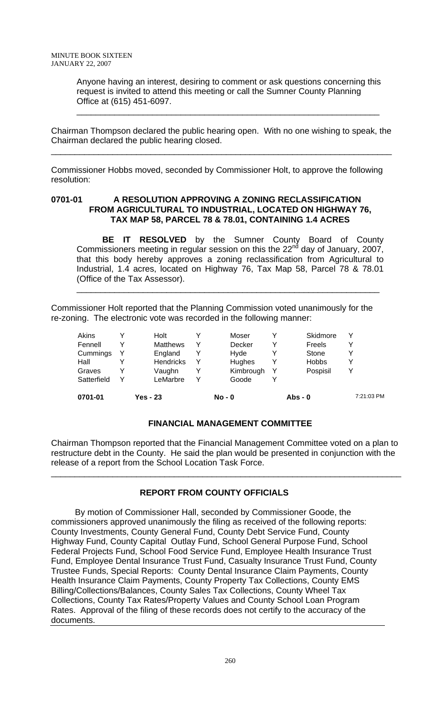Anyone having an interest, desiring to comment or ask questions concerning this request is invited to attend this meeting or call the Sumner County Planning Office at (615) 451-6097.

\_\_\_\_\_\_\_\_\_\_\_\_\_\_\_\_\_\_\_\_\_\_\_\_\_\_\_\_\_\_\_\_\_\_\_\_\_\_\_\_\_\_\_\_\_\_\_\_\_\_\_\_\_\_\_\_\_\_\_\_\_\_\_\_

Chairman Thompson declared the public hearing open. With no one wishing to speak, the Chairman declared the public hearing closed.

\_\_\_\_\_\_\_\_\_\_\_\_\_\_\_\_\_\_\_\_\_\_\_\_\_\_\_\_\_\_\_\_\_\_\_\_\_\_\_\_\_\_\_\_\_\_\_\_\_\_\_\_\_\_\_\_\_\_\_\_\_\_\_\_\_\_\_\_\_\_\_\_

Commissioner Hobbs moved, seconded by Commissioner Holt, to approve the following resolution:

## **0701-01 A RESOLUTION APPROVING A ZONING RECLASSIFICATION FROM AGRICULTURAL TO INDUSTRIAL, LOCATED ON HIGHWAY 76, TAX MAP 58, PARCEL 78 & 78.01, CONTAINING 1.4 ACRES**

**BE IT RESOLVED** by the Sumner County Board of County Commissioners meeting in regular session on this the  $22<sup>nd</sup>$  day of January, 2007, that this body hereby approves a zoning reclassification from Agricultural to Industrial, 1.4 acres, located on Highway 76, Tax Map 58, Parcel 78 & 78.01 (Office of the Tax Assessor).

\_\_\_\_\_\_\_\_\_\_\_\_\_\_\_\_\_\_\_\_\_\_\_\_\_\_\_\_\_\_\_\_\_\_\_\_\_\_\_\_\_\_\_\_\_\_\_\_\_\_\_\_\_\_\_\_\_\_\_\_\_\_\_\_

Commissioner Holt reported that the Planning Commission voted unanimously for the re-zoning. The electronic vote was recorded in the following manner:

| 0701-01     |   | Yes - 23         |   | $No - 0$  |   | $Abs - 0$    | 7:21:03 PM |
|-------------|---|------------------|---|-----------|---|--------------|------------|
| Satterfield | v | LeMarbre         |   | Goode     |   |              |            |
| Graves      |   | Vaughn           |   | Kimbrough | Y | Pospisil     |            |
| Hall        |   | <b>Hendricks</b> |   | Hughes    | Y | <b>Hobbs</b> |            |
| Cummings    |   | England          |   | Hvde      |   | Stone        |            |
| Fennell     |   | <b>Matthews</b>  | ✓ | Decker    | v | Freels       |            |
| Akins       |   | Holt             |   | Moser     |   | Skidmore     |            |

# **FINANCIAL MANAGEMENT COMMITTEE**

Chairman Thompson reported that the Financial Management Committee voted on a plan to restructure debt in the County. He said the plan would be presented in conjunction with the release of a report from the School Location Task Force.

\_\_\_\_\_\_\_\_\_\_\_\_\_\_\_\_\_\_\_\_\_\_\_\_\_\_\_\_\_\_\_\_\_\_\_\_\_\_\_\_\_\_\_\_\_\_\_\_\_\_\_\_\_\_\_\_\_\_\_\_\_\_\_\_\_\_\_\_\_\_\_\_\_\_

# **REPORT FROM COUNTY OFFICIALS**

 By motion of Commissioner Hall, seconded by Commissioner Goode, the commissioners approved unanimously the filing as received of the following reports: County Investments, County General Fund, County Debt Service Fund, County Highway Fund, County Capital Outlay Fund, School General Purpose Fund, School Federal Projects Fund, School Food Service Fund, Employee Health Insurance Trust Fund, Employee Dental Insurance Trust Fund, Casualty Insurance Trust Fund, County Trustee Funds, Special Reports: County Dental Insurance Claim Payments, County Health Insurance Claim Payments, County Property Tax Collections, County EMS Billing/Collections/Balances, County Sales Tax Collections, County Wheel Tax Collections, County Tax Rates/Property Values and County School Loan Program Rates. Approval of the filing of these records does not certify to the accuracy of the documents.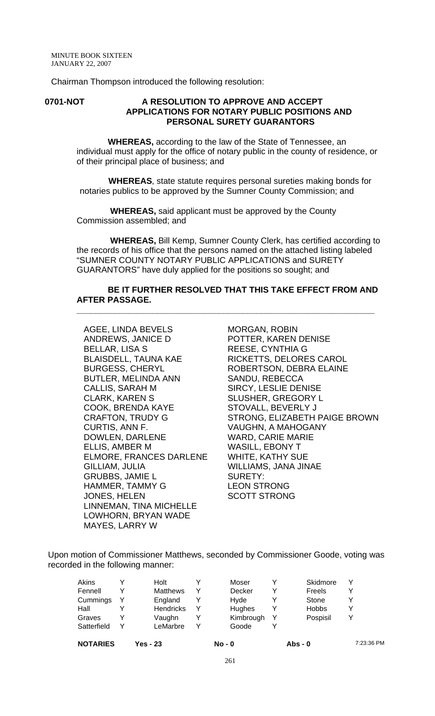Chairman Thompson introduced the following resolution:

#### **0701-NOT A RESOLUTION TO APPROVE AND ACCEPT APPLICATIONS FOR NOTARY PUBLIC POSITIONS AND PERSONAL SURETY GUARANTORS**

 **WHEREAS,** according to the law of the State of Tennessee, an individual must apply for the office of notary public in the county of residence, or of their principal place of business; and

 **WHEREAS**, state statute requires personal sureties making bonds for notaries publics to be approved by the Sumner County Commission; and

 **WHEREAS,** said applicant must be approved by the County Commission assembled; and

 **WHEREAS,** Bill Kemp, Sumner County Clerk, has certified according to the records of his office that the persons named on the attached listing labeled "SUMNER COUNTY NOTARY PUBLIC APPLICATIONS and SURETY GUARANTORS" have duly applied for the positions so sought; and

#### **BE IT FURTHER RESOLVED THAT THIS TAKE EFFECT FROM AND AFTER PASSAGE.**

**\_\_\_\_\_\_\_\_\_\_\_\_\_\_\_\_\_\_\_\_\_\_\_\_\_\_\_\_\_\_\_\_\_\_\_\_\_\_\_\_\_\_\_\_\_\_\_\_\_\_\_\_\_\_\_\_\_\_\_\_\_\_\_**

AGEE, LINDA BEVELS ANDREWS, JANICE D BELLAR, LISA S BLAISDELL, TAUNA KAE BURGESS, CHERYL BUTLER, MELINDA ANN CALLIS, SARAH M CLARK, KAREN S COOK, BRENDA KAYE CRAFTON, TRUDY G CURTIS, ANN F. DOWLEN, DARLENE ELLIS, AMBER M ELMORE, FRANCES DARLENE GILLIAM, JULIA GRUBBS, JAMIE L HAMMER, TAMMY G JONES, HELEN LINNEMAN, TINA MICHELLE LOWHORN, BRYAN WADE MAYES, LARRY W

MORGAN, ROBIN POTTER, KAREN DENISE REESE, CYNTHIA G RICKETTS, DELORES CAROL ROBERTSON, DEBRA ELAINE SANDU, REBECCA SIRCY, LESLIE DENISE SLUSHER, GREGORY L STOVALL, BEVERLY J STRONG, ELIZABETH PAIGE BROWN VAUGHN, A MAHOGANY WARD, CARIE MARIE WASILL, EBONY T WHITE, KATHY SUE WILLIAMS, JANA JINAE SURETY: LEON STRONG SCOTT STRONG

Upon motion of Commissioner Matthews, seconded by Commissioner Goode, voting was recorded in the following manner:

| Akins       |   | Holt             |   | Moser     |   | Skidmore     | ٧ |
|-------------|---|------------------|---|-----------|---|--------------|---|
| Fennell     |   | <b>Matthews</b>  | v | Decker    | v | Freels       |   |
| Cummings    |   | England          |   | Hvde      |   | Stone        | v |
| Hall        |   | <b>Hendricks</b> |   | Hughes    |   | <b>Hobbs</b> | v |
| Graves      |   | Vaughn           |   | Kimbrough |   | Pospisil     | v |
| Satterfield | v | LeMarbre         |   | Goode     |   |              |   |

**NOTARIES Yes - 23 No - 0 Abs - 0** 7:23:36 PM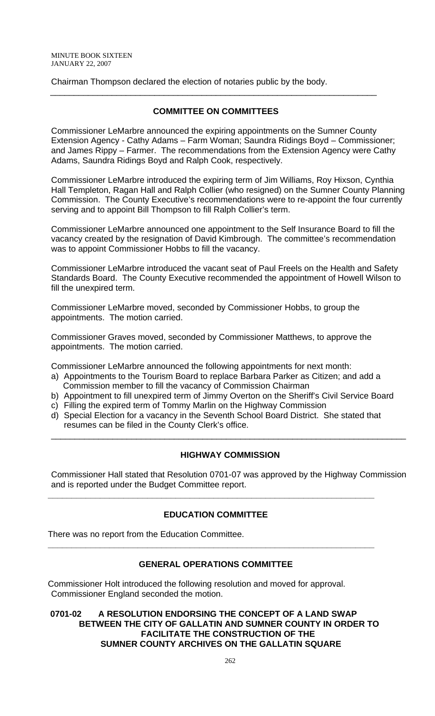Chairman Thompson declared the election of notaries public by the body.

# **COMMITTEE ON COMMITTEES**

\_\_\_\_\_\_\_\_\_\_\_\_\_\_\_\_\_\_\_\_\_\_\_\_\_\_\_\_\_\_\_\_\_\_\_\_\_\_\_\_\_\_\_\_\_\_\_\_\_\_\_\_\_\_\_\_\_\_\_\_\_\_\_\_\_\_\_\_\_

Commissioner LeMarbre announced the expiring appointments on the Sumner County Extension Agency - Cathy Adams – Farm Woman; Saundra Ridings Boyd – Commissioner; and James Rippy – Farmer. The recommendations from the Extension Agency were Cathy Adams, Saundra Ridings Boyd and Ralph Cook, respectively.

Commissioner LeMarbre introduced the expiring term of Jim Williams, Roy Hixson, Cynthia Hall Templeton, Ragan Hall and Ralph Collier (who resigned) on the Sumner County Planning Commission. The County Executive's recommendations were to re-appoint the four currently serving and to appoint Bill Thompson to fill Ralph Collier's term.

Commissioner LeMarbre announced one appointment to the Self Insurance Board to fill the vacancy created by the resignation of David Kimbrough. The committee's recommendation was to appoint Commissioner Hobbs to fill the vacancy.

Commissioner LeMarbre introduced the vacant seat of Paul Freels on the Health and Safety Standards Board. The County Executive recommended the appointment of Howell Wilson to fill the unexpired term.

Commissioner LeMarbre moved, seconded by Commissioner Hobbs, to group the appointments. The motion carried.

Commissioner Graves moved, seconded by Commissioner Matthews, to approve the appointments. The motion carried.

Commissioner LeMarbre announced the following appointments for next month:

- a) Appointments to the Tourism Board to replace Barbara Parker as Citizen; and add a Commission member to fill the vacancy of Commission Chairman
- b) Appointment to fill unexpired term of Jimmy Overton on the Sheriff's Civil Service Board
- c) Filling the expired term of Tommy Marlin on the Highway Commission
- d) Special Election for a vacancy in the Seventh School Board District. She stated that resumes can be filed in the County Clerk's office.

# **HIGHWAY COMMISSION**

\_\_\_\_\_\_\_\_\_\_\_\_\_\_\_\_\_\_\_\_\_\_\_\_\_\_\_\_\_\_\_\_\_\_\_\_\_\_\_\_\_\_\_\_\_\_\_\_\_\_\_\_\_\_\_\_\_\_\_\_\_\_\_\_\_\_\_\_\_\_\_\_\_\_\_

Commissioner Hall stated that Resolution 0701-07 was approved by the Highway Commission and is reported under the Budget Committee report.

# **EDUCATION COMMITTEE**

**\_\_\_\_\_\_\_\_\_\_\_\_\_\_\_\_\_\_\_\_\_\_\_\_\_\_\_\_\_\_\_\_\_\_\_\_\_\_\_\_\_\_\_\_\_\_\_\_\_\_\_\_\_\_\_\_\_\_\_\_\_\_\_\_\_\_\_\_\_**

There was no report from the Education Committee.

# **GENERAL OPERATIONS COMMITTEE**

**\_\_\_\_\_\_\_\_\_\_\_\_\_\_\_\_\_\_\_\_\_\_\_\_\_\_\_\_\_\_\_\_\_\_\_\_\_\_\_\_\_\_\_\_\_\_\_\_\_\_\_\_\_\_\_\_\_\_\_\_\_\_\_\_\_\_\_\_\_**

Commissioner Holt introduced the following resolution and moved for approval. Commissioner England seconded the motion.

## **0701-02 A RESOLUTION ENDORSING THE CONCEPT OF A LAND SWAP BETWEEN THE CITY OF GALLATIN AND SUMNER COUNTY IN ORDER TO FACILITATE THE CONSTRUCTION OF THE SUMNER COUNTY ARCHIVES ON THE GALLATIN SQUARE**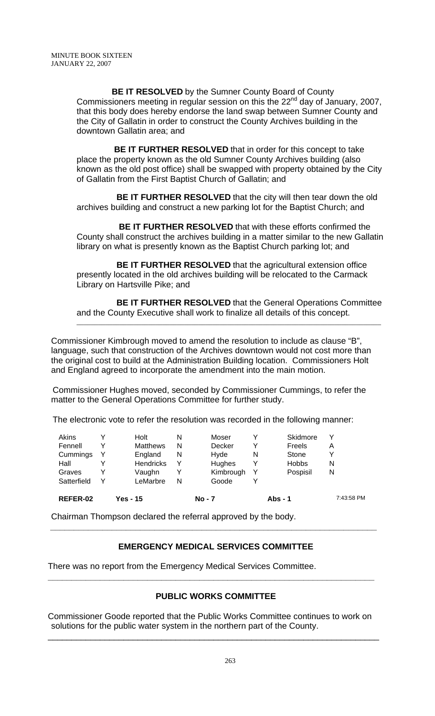**BE IT RESOLVED** by the Sumner County Board of County Commissioners meeting in regular session on this the 22<sup>nd</sup> day of January, 2007, that this body does hereby endorse the land swap between Sumner County and the City of Gallatin in order to construct the County Archives building in the downtown Gallatin area; and

 **BE IT FURTHER RESOLVED** that in order for this concept to take place the property known as the old Sumner County Archives building (also known as the old post office) shall be swapped with property obtained by the City of Gallatin from the First Baptist Church of Gallatin; and

 **BE IT FURTHER RESOLVED** that the city will then tear down the old archives building and construct a new parking lot for the Baptist Church; and

 **BE IT FURTHER RESOLVED** that with these efforts confirmed the County shall construct the archives building in a matter similar to the new Gallatin library on what is presently known as the Baptist Church parking lot; and

**BE IT FURTHER RESOLVED** that the agricultural extension office presently located in the old archives building will be relocated to the Carmack Library on Hartsville Pike; and

 **BE IT FURTHER RESOLVED** that the General Operations Committee and the County Executive shall work to finalize all details of this concept.

\_\_\_\_\_\_\_\_\_\_\_\_\_\_\_\_\_\_\_\_\_\_\_\_\_\_\_\_\_\_\_\_\_\_\_\_\_\_\_\_\_\_\_\_\_\_\_\_\_\_\_\_\_\_\_\_\_\_\_\_\_\_\_\_\_\_\_\_\_\_\_\_\_\_\_\_\_\_\_\_\_\_\_\_\_

Commissioner Kimbrough moved to amend the resolution to include as clause "B", language, such that construction of the Archives downtown would not cost more than the original cost to build at the Administration Building location. Commissioners Holt and England agreed to incorporate the amendment into the main motion.

Commissioner Hughes moved, seconded by Commissioner Cummings, to refer the matter to the General Operations Committee for further study.

The electronic vote to refer the resolution was recorded in the following manner:

| REFER-02    | 7:43:58 PM        |
|-------------|-------------------|
| Satterfield |                   |
| Graves      | Pospisil<br>N     |
| Hall        | <b>Hobbs</b><br>N |
| Cummings    | Υ<br>Stone        |
| Fennell     | Freels<br>Α       |
| Akins       | v<br>Skidmore     |
|             |                   |

Chairman Thompson declared the referral approved by the body.

# **EMERGENCY MEDICAL SERVICES COMMITTEE**

 **\_\_\_\_\_\_\_\_\_\_\_\_\_\_\_\_\_\_\_\_\_\_\_\_\_\_\_\_\_\_\_\_\_\_\_\_\_\_\_\_\_\_\_\_\_\_\_\_\_\_\_\_\_\_\_\_\_\_\_\_\_\_\_\_\_\_\_\_\_**

There was no report from the Emergency Medical Services Committee.

# **PUBLIC WORKS COMMITTEE**

Commissioner Goode reported that the Public Works Committee continues to work on solutions for the public water system in the northern part of the County.

\_\_\_\_\_\_\_\_\_\_\_\_\_\_\_\_\_\_\_\_\_\_\_\_\_\_\_\_\_\_\_\_\_\_\_\_\_\_\_\_\_\_\_\_\_\_\_\_\_\_\_\_\_\_\_\_\_\_\_\_\_\_\_\_\_\_\_\_\_\_

**\_\_\_\_\_\_\_\_\_\_\_\_\_\_\_\_\_\_\_\_\_\_\_\_\_\_\_\_\_\_\_\_\_\_\_\_\_\_\_\_\_\_\_\_\_\_\_\_\_\_\_\_\_\_\_\_\_\_\_\_\_\_\_\_\_\_\_\_\_**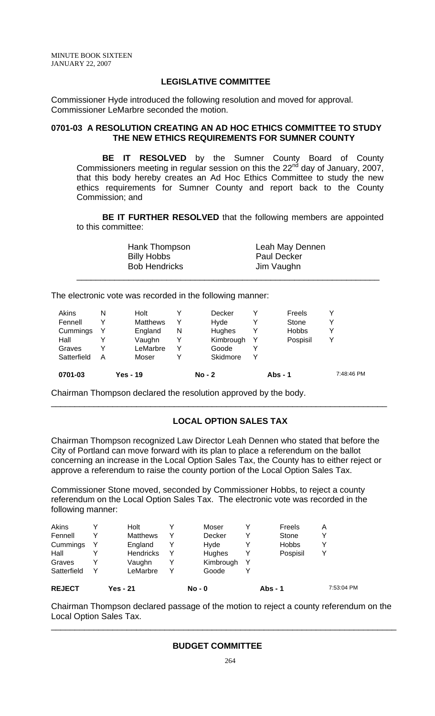## **LEGISLATIVE COMMITTEE**

Commissioner Hyde introduced the following resolution and moved for approval. Commissioner LeMarbre seconded the motion.

## **0701-03 A RESOLUTION CREATING AN AD HOC ETHICS COMMITTEE TO STUDY THE NEW ETHICS REQUIREMENTS FOR SUMNER COUNTY**

**BE IT RESOLVED** by the Sumner County Board of County Commissioners meeting in regular session on this the 22<sup>nd</sup> day of January, 2007, that this body hereby creates an Ad Hoc Ethics Committee to study the new ethics requirements for Sumner County and report back to the County Commission; and

**BE IT FURTHER RESOLVED** that the following members are appointed to this committee:

| Hank Thompson        | Leah May Dennen    |
|----------------------|--------------------|
| <b>Billy Hobbs</b>   | <b>Paul Decker</b> |
| <b>Bob Hendricks</b> | Jim Vaughn         |
|                      |                    |

The electronic vote was recorded in the following manner:

| Yes - 19        |   | $No - 2$  |   | Abs - $1$    | 7:48:46 PM |
|-----------------|---|-----------|---|--------------|------------|
| Moser           |   | Skidmore  | v |              |            |
| LeMarbre        |   | Goode     |   |              |            |
| Vaughn          |   | Kimbrough | Y | Pospisil     | Υ          |
| England         | N | Hughes    |   | <b>Hobbs</b> | ٧          |
| <b>Matthews</b> |   | Hvde      |   | Stone        | v          |
| Holt            |   | Decker    |   | Freels       | Υ          |
|                 |   |           |   |              |            |

Chairman Thompson declared the resolution approved by the body.

# **LOCAL OPTION SALES TAX**

Chairman Thompson recognized Law Director Leah Dennen who stated that before the City of Portland can move forward with its plan to place a referendum on the ballot concerning an increase in the Local Option Sales Tax, the County has to either reject or approve a referendum to raise the county portion of the Local Option Sales Tax.

\_\_\_\_\_\_\_\_\_\_\_\_\_\_\_\_\_\_\_\_\_\_\_\_\_\_\_\_\_\_\_\_\_\_\_\_\_\_\_\_\_\_\_\_\_\_\_\_\_\_\_\_\_\_\_\_\_\_\_\_\_\_\_\_\_\_\_\_\_\_\_

Commissioner Stone moved, seconded by Commissioner Hobbs, to reject a county referendum on the Local Option Sales Tax. The electronic vote was recorded in the following manner:

| <b>REJECT</b> | <b>Yes - 21</b>  |   | No - 0        |   | Abs - 1      | 7:53:04 PM |
|---------------|------------------|---|---------------|---|--------------|------------|
| Satterfield   | LeMarbre         |   | Goode         |   |              |            |
| Graves        | Vaughn           |   | Kimbrough     | Y |              |            |
| Hall          | <b>Hendricks</b> | Y | <b>Hughes</b> |   | Pospisil     | Y          |
| Cummings      | England          |   | Hvde          |   | <b>Hobbs</b> | ∨          |
| Fennell       | Matthews         |   | Decker        |   | Stone        | ∨          |
| Akins         | Holt             |   | Moser         |   | Freels       | A          |
|               |                  |   |               |   |              |            |

Chairman Thompson declared passage of the motion to reject a county referendum on the Local Option Sales Tax.

\_\_\_\_\_\_\_\_\_\_\_\_\_\_\_\_\_\_\_\_\_\_\_\_\_\_\_\_\_\_\_\_\_\_\_\_\_\_\_\_\_\_\_\_\_\_\_\_\_\_\_\_\_\_\_\_\_\_\_\_\_\_\_\_\_\_\_\_\_\_\_\_\_

#### **BUDGET COMMITTEE**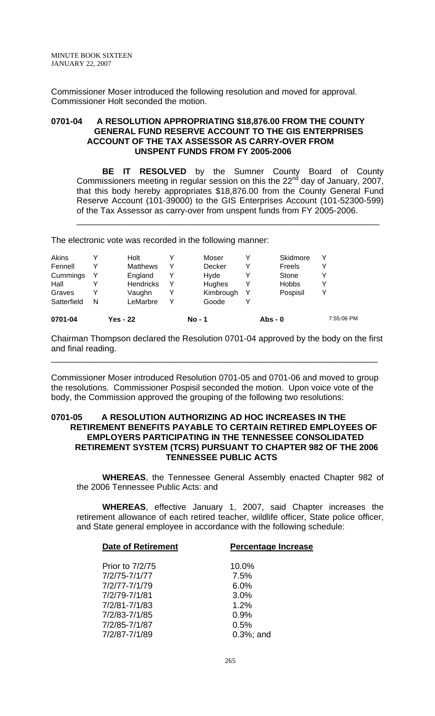Commissioner Moser introduced the following resolution and moved for approval. Commissioner Holt seconded the motion.

#### **0701-04 A RESOLUTION APPROPRIATING \$18,876.00 FROM THE COUNTY GENERAL FUND RESERVE ACCOUNT TO THE GIS ENTERPRISES ACCOUNT OF THE TAX ASSESSOR AS CARRY-OVER FROM UNSPENT FUNDS FROM FY 2005-2006**

**BE IT RESOLVED** by the Sumner County Board of County Commissioners meeting in regular session on this the 22<sup>nd</sup> day of January, 2007, that this body hereby appropriates \$18,876.00 from the County General Fund Reserve Account (101-39000) to the GIS Enterprises Account (101-52300-599) of the Tax Assessor as carry-over from unspent funds from FY 2005-2006.

\_\_\_\_\_\_\_\_\_\_\_\_\_\_\_\_\_\_\_\_\_\_\_\_\_\_\_\_\_\_\_\_\_\_\_\_\_\_\_\_\_\_\_\_\_\_\_\_\_\_\_\_\_\_\_\_\_\_\_\_\_\_\_\_

The electronic vote was recorded in the following manner:

| 0701-04     |   | <b>Yes - 22</b>  |   | No - 1    |   | $Abs - 0$    |   | 7:55:06 PM |
|-------------|---|------------------|---|-----------|---|--------------|---|------------|
| Satterfield | N | LeMarbre         | v | Goode     |   |              |   |            |
| Graves      | v | Vaughn           |   | Kimbrough |   | Pospisil     |   |            |
| Hall        |   | <b>Hendricks</b> | Y | Hughes    | v | <b>Hobbs</b> |   |            |
| Cummings    | Y | England          |   | Hvde      |   | Stone        |   |            |
| Fennell     | v | <b>Matthews</b>  | ∨ | Decker    | v | Freels       |   |            |
| Akins       |   | Holt             |   | Moser     |   | Skidmore     | v |            |
|             |   |                  |   |           |   |              |   |            |

Chairman Thompson declared the Resolution 0701-04 approved by the body on the first and final reading.

\_\_\_\_\_\_\_\_\_\_\_\_\_\_\_\_\_\_\_\_\_\_\_\_\_\_\_\_\_\_\_\_\_\_\_\_\_\_\_\_\_\_\_\_\_\_\_\_\_\_\_\_\_\_\_\_\_\_\_\_\_\_\_\_\_\_\_\_\_

Commissioner Moser introduced Resolution 0701-05 and 0701-06 and moved to group the resolutions. Commissioner Pospisil seconded the motion. Upon voice vote of the body, the Commission approved the grouping of the following two resolutions:

#### **0701-05 A RESOLUTION AUTHORIZING AD HOC INCREASES IN THE RETIREMENT BENEFITS PAYABLE TO CERTAIN RETIRED EMPLOYEES OF EMPLOYERS PARTICIPATING IN THE TENNESSEE CONSOLIDATED RETIREMENT SYSTEM (TCRS) PURSUANT TO CHAPTER 982 OF THE 2006 TENNESSEE PUBLIC ACTS**

**WHEREAS**, the Tennessee General Assembly enacted Chapter 982 of the 2006 Tennessee Public Acts: and

**WHEREAS**, effective January 1, 2007, said Chapter increases the retirement allowance of each retired teacher, wildlife officer, State police officer, and State general employee in accordance with the following schedule:

| <b>Date of Retirement</b> | <b>Percentage Increase</b> |  |  |  |  |  |
|---------------------------|----------------------------|--|--|--|--|--|
|                           |                            |  |  |  |  |  |
| <b>Prior to 7/2/75</b>    | 10.0%                      |  |  |  |  |  |
| 7/2/75-7/1/77             | 7.5%                       |  |  |  |  |  |
| 7/2/77-7/1/79             | 6.0%                       |  |  |  |  |  |
| 7/2/79-7/1/81             | 3.0%                       |  |  |  |  |  |
| 7/2/81-7/1/83             | 1.2%                       |  |  |  |  |  |
| 7/2/83-7/1/85             | 0.9%                       |  |  |  |  |  |
| 7/2/85-7/1/87             | 0.5%                       |  |  |  |  |  |
| 7/2/87-7/1/89             | $0.3\%$ ; and              |  |  |  |  |  |
|                           |                            |  |  |  |  |  |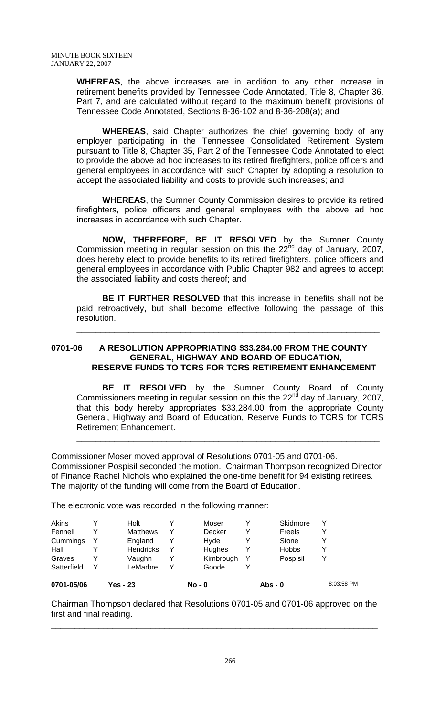**WHEREAS**, the above increases are in addition to any other increase in retirement benefits provided by Tennessee Code Annotated, Title 8, Chapter 36, Part 7, and are calculated without regard to the maximum benefit provisions of Tennessee Code Annotated, Sections 8-36-102 and 8-36-208(a); and

**WHEREAS**, said Chapter authorizes the chief governing body of any employer participating in the Tennessee Consolidated Retirement System pursuant to Title 8, Chapter 35, Part 2 of the Tennessee Code Annotated to elect to provide the above ad hoc increases to its retired firefighters, police officers and general employees in accordance with such Chapter by adopting a resolution to accept the associated liability and costs to provide such increases; and

**WHEREAS**, the Sumner County Commission desires to provide its retired firefighters, police officers and general employees with the above ad hoc increases in accordance with such Chapter.

**NOW, THEREFORE, BE IT RESOLVED** by the Sumner County Commission meeting in regular session on this the  $22<sup>nd</sup>$  day of January, 2007, does hereby elect to provide benefits to its retired firefighters, police officers and general employees in accordance with Public Chapter 982 and agrees to accept the associated liability and costs thereof; and

**BE IT FURTHER RESOLVED** that this increase in benefits shall not be paid retroactively, but shall become effective following the passage of this resolution.

\_\_\_\_\_\_\_\_\_\_\_\_\_\_\_\_\_\_\_\_\_\_\_\_\_\_\_\_\_\_\_\_\_\_\_\_\_\_\_\_\_\_\_\_\_\_\_\_\_\_\_\_\_\_\_\_\_\_\_\_\_\_\_\_

## **0701-06 A RESOLUTION APPROPRIATING \$33,284.00 FROM THE COUNTY GENERAL, HIGHWAY AND BOARD OF EDUCATION, RESERVE FUNDS TO TCRS FOR TCRS RETIREMENT ENHANCEMENT**

**BE IT RESOLVED** by the Sumner County Board of County Commissioners meeting in regular session on this the  $22<sup>nd</sup>$  day of January, 2007, that this body hereby appropriates \$33,284.00 from the appropriate County General, Highway and Board of Education, Reserve Funds to TCRS for TCRS Retirement Enhancement.

\_\_\_\_\_\_\_\_\_\_\_\_\_\_\_\_\_\_\_\_\_\_\_\_\_\_\_\_\_\_\_\_\_\_\_\_\_\_\_\_\_\_\_\_\_\_\_\_\_\_\_\_\_\_\_\_\_\_\_\_\_\_\_\_

Commissioner Moser moved approval of Resolutions 0701-05 and 0701-06. Commissioner Pospisil seconded the motion. Chairman Thompson recognized Director of Finance Rachel Nichols who explained the one-time benefit for 94 existing retirees. The majority of the funding will come from the Board of Education.

The electronic vote was recorded in the following manner:

| 0701-05/06  | Yes - 23 |                  | $No - 0$      |   | Abs - 0      |   | 8:03:58 PM |
|-------------|----------|------------------|---------------|---|--------------|---|------------|
| Satterfield | v        | LeMarbre         | Goode         |   |              |   |            |
| Graves      |          | Vaughn           | Kimbrough     | Y | Pospisil     |   |            |
| Hall        |          | <b>Hendricks</b> | <b>Hughes</b> | Y | <b>Hobbs</b> | v |            |
| Cummings    |          | England          | Hvde          |   | Stone        |   |            |
| Fennell     |          | <b>Matthews</b>  | Decker        | Y | Freels       |   |            |
| Akins       |          | Holt             | Moser         | Y | Skidmore     |   |            |
|             |          |                  |               |   |              |   |            |

Chairman Thompson declared that Resolutions 0701-05 and 0701-06 approved on the first and final reading. \_\_\_\_\_\_\_\_\_\_\_\_\_\_\_\_\_\_\_\_\_\_\_\_\_\_\_\_\_\_\_\_\_\_\_\_\_\_\_\_\_\_\_\_\_\_\_\_\_\_\_\_\_\_\_\_\_\_\_\_\_\_\_\_\_\_\_\_\_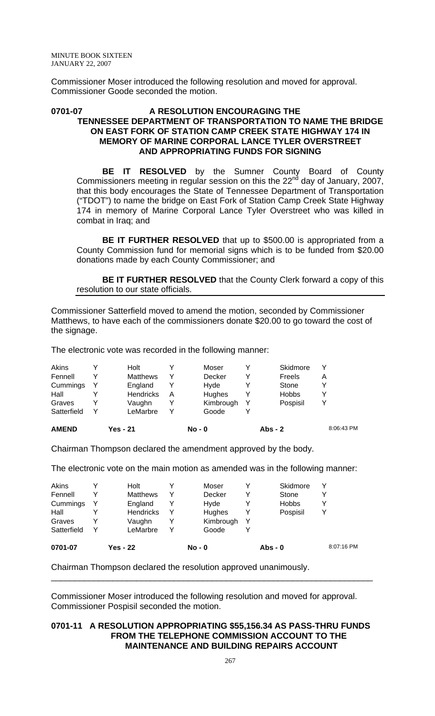Commissioner Moser introduced the following resolution and moved for approval. Commissioner Goode seconded the motion.

## **0701-07 A RESOLUTION ENCOURAGING THE TENNESSEE DEPARTMENT OF TRANSPORTATION TO NAME THE BRIDGE ON EAST FORK OF STATION CAMP CREEK STATE HIGHWAY 174 IN MEMORY OF MARINE CORPORAL LANCE TYLER OVERSTREET AND APPROPRIATING FUNDS FOR SIGNING**

**BE IT RESOLVED** by the Sumner County Board of County Commissioners meeting in regular session on this the 22 $^{nd}$  day of January, 2007, that this body encourages the State of Tennessee Department of Transportation ("TDOT") to name the bridge on East Fork of Station Camp Creek State Highway 174 in memory of Marine Corporal Lance Tyler Overstreet who was killed in combat in Iraq; and

**BE IT FURTHER RESOLVED** that up to \$500.00 is appropriated from a County Commission fund for memorial signs which is to be funded from \$20.00 donations made by each County Commissioner; and

**BE IT FURTHER RESOLVED** that the County Clerk forward a copy of this resolution to our state officials.

Commissioner Satterfield moved to amend the motion, seconded by Commissioner Matthews, to have each of the commissioners donate \$20.00 to go toward the cost of the signage.

The electronic vote was recorded in the following manner:

| <b>AMEND</b> | Yes - 21         |   | $No - 0$  |   | <b>Abs - 2</b> |   | 8:06:43 PM |
|--------------|------------------|---|-----------|---|----------------|---|------------|
| Satterfield  | LeMarbre         |   | Goode     |   |                |   |            |
| Graves       | Vaughn           |   | Kimbrough | Y | Pospisil       |   |            |
| Hall         | <b>Hendricks</b> | A | Hughes    | Y | <b>Hobbs</b>   |   |            |
| Cummings     | England          |   | Hvde      |   | Stone          |   |            |
| Fennell      | <b>Matthews</b>  |   | Decker    | v | Freels         | А |            |
| Akins        | Holt             |   | Moser     | v | Skidmore       |   |            |

Chairman Thompson declared the amendment approved by the body.

The electronic vote on the main motion as amended was in the following manner:

| 0701-07     |                  |           |              | 8:07:16 PM |  |
|-------------|------------------|-----------|--------------|------------|--|
| Satterfield | LeMarbre         | Goode     |              |            |  |
| Graves      | Vaughn           | Kimbrough |              |            |  |
| Hall        | <b>Hendricks</b> | Hughes    | Pospisil     | Y          |  |
| Cummings    | England          | Hvde      | <b>Hobbs</b> | v          |  |
| Fennell     | <b>Matthews</b>  | Decker    | Stone        | Y          |  |
| Akins       | Holt             | Moser     | Skidmore     | Y          |  |

Chairman Thompson declared the resolution approved unanimously.

Commissioner Moser introduced the following resolution and moved for approval. Commissioner Pospisil seconded the motion.

\_\_\_\_\_\_\_\_\_\_\_\_\_\_\_\_\_\_\_\_\_\_\_\_\_\_\_\_\_\_\_\_\_\_\_\_\_\_\_\_\_\_\_\_\_\_\_\_\_\_\_\_\_\_\_\_\_\_\_\_\_\_\_\_\_\_\_\_

#### **0701-11 A RESOLUTION APPROPRIATING \$55,156.34 AS PASS-THRU FUNDS FROM THE TELEPHONE COMMISSION ACCOUNT TO THE MAINTENANCE AND BUILDING REPAIRS ACCOUNT**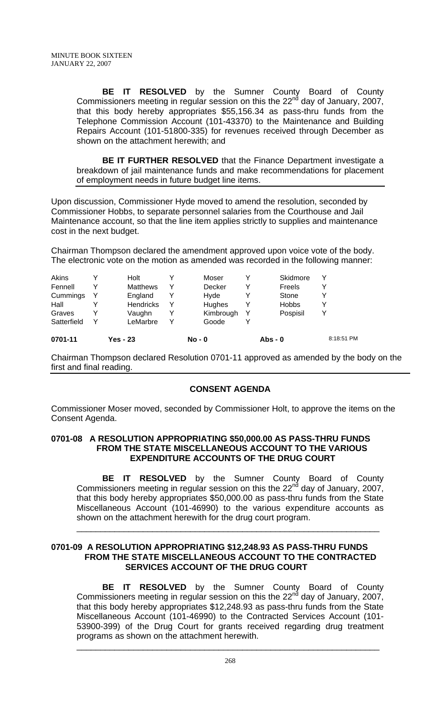**BE IT RESOLVED** by the Sumner County Board of County Commissioners meeting in regular session on this the 22<sup>nd</sup> day of January, 2007, that this body hereby appropriates \$55,156.34 as pass-thru funds from the Telephone Commission Account (101-43370) to the Maintenance and Building Repairs Account (101-51800-335) for revenues received through December as shown on the attachment herewith; and

**BE IT FURTHER RESOLVED** that the Finance Department investigate a breakdown of jail maintenance funds and make recommendations for placement of employment needs in future budget line items.

Upon discussion, Commissioner Hyde moved to amend the resolution, seconded by Commissioner Hobbs, to separate personnel salaries from the Courthouse and Jail Maintenance account, so that the line item applies strictly to supplies and maintenance cost in the next budget.

Chairman Thompson declared the amendment approved upon voice vote of the body. The electronic vote on the motion as amended was recorded in the following manner:

| Satterfield | v | LeMarbre         | v | Goode         |   |          |  |
|-------------|---|------------------|---|---------------|---|----------|--|
| Graves      | v | Vaughn           |   | Kimbrough     | Y | Pospisil |  |
| Hall        |   | <b>Hendricks</b> | Y | <b>Hughes</b> | Y | Hobbs    |  |
| Cummings    | Y | England          | Y | Hvde          |   | Stone    |  |
| Fennell     |   | <b>Matthews</b>  | Y | Decker        | Y | Freels   |  |
| Akins       |   | Holt             |   | Moser         | Y | Skidmore |  |

Chairman Thompson declared Resolution 0701-11 approved as amended by the body on the first and final reading.

# **CONSENT AGENDA**

Commissioner Moser moved, seconded by Commissioner Holt, to approve the items on the Consent Agenda.

## **0701-08 A RESOLUTION APPROPRIATING \$50,000.00 AS PASS-THRU FUNDS FROM THE STATE MISCELLANEOUS ACCOUNT TO THE VARIOUS EXPENDITURE ACCOUNTS OF THE DRUG COURT**

**BE IT RESOLVED** by the Sumner County Board of County Commissioners meeting in regular session on this the  $22<sup>nd</sup>$  day of January, 2007, that this body hereby appropriates \$50,000.00 as pass-thru funds from the State Miscellaneous Account (101-46990) to the various expenditure accounts as shown on the attachment herewith for the drug court program.

\_\_\_\_\_\_\_\_\_\_\_\_\_\_\_\_\_\_\_\_\_\_\_\_\_\_\_\_\_\_\_\_\_\_\_\_\_\_\_\_\_\_\_\_\_\_\_\_\_\_\_\_\_\_\_\_\_\_\_\_\_\_\_\_

## **0701-09 A RESOLUTION APPROPRIATING \$12,248.93 AS PASS-THRU FUNDS FROM THE STATE MISCELLANEOUS ACCOUNT TO THE CONTRACTED SERVICES ACCOUNT OF THE DRUG COURT**

**BE IT RESOLVED** by the Sumner County Board of County Commissioners meeting in regular session on this the 22<sup>nd</sup> day of January, 2007, that this body hereby appropriates \$12,248.93 as pass-thru funds from the State Miscellaneous Account (101-46990) to the Contracted Services Account (101- 53900-399) of the Drug Court for grants received regarding drug treatment programs as shown on the attachment herewith.

\_\_\_\_\_\_\_\_\_\_\_\_\_\_\_\_\_\_\_\_\_\_\_\_\_\_\_\_\_\_\_\_\_\_\_\_\_\_\_\_\_\_\_\_\_\_\_\_\_\_\_\_\_\_\_\_\_\_\_\_\_\_\_\_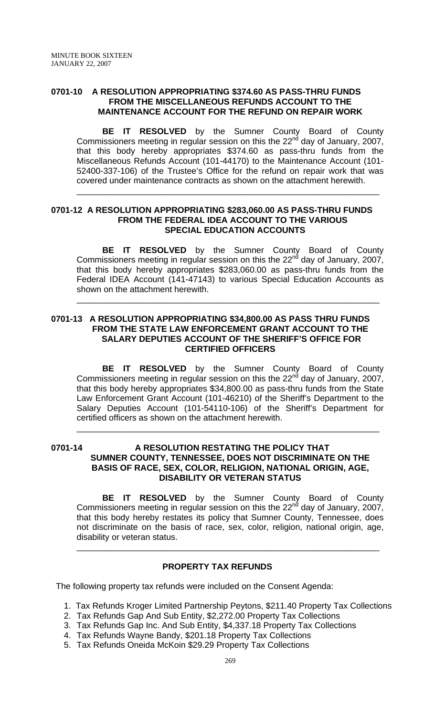## **0701-10 A RESOLUTION APPROPRIATING \$374.60 AS PASS-THRU FUNDS FROM THE MISCELLANEOUS REFUNDS ACCOUNT TO THE MAINTENANCE ACCOUNT FOR THE REFUND ON REPAIR WORK**

**BE IT RESOLVED** by the Sumner County Board of County Commissioners meeting in regular session on this the 22<sup>nd</sup> day of January, 2007, that this body hereby appropriates \$374.60 as pass-thru funds from the Miscellaneous Refunds Account (101-44170) to the Maintenance Account (101- 52400-337-106) of the Trustee's Office for the refund on repair work that was covered under maintenance contracts as shown on the attachment herewith.

\_\_\_\_\_\_\_\_\_\_\_\_\_\_\_\_\_\_\_\_\_\_\_\_\_\_\_\_\_\_\_\_\_\_\_\_\_\_\_\_\_\_\_\_\_\_\_\_\_\_\_\_\_\_\_\_\_\_\_\_\_\_\_\_

### **0701-12 A RESOLUTION APPROPRIATING \$283,060.00 AS PASS-THRU FUNDS FROM THE FEDERAL IDEA ACCOUNT TO THE VARIOUS SPECIAL EDUCATION ACCOUNTS**

**BE IT RESOLVED** by the Sumner County Board of County Commissioners meeting in regular session on this the  $22<sup>nd</sup>$  day of January, 2007, that this body hereby appropriates \$283,060.00 as pass-thru funds from the Federal IDEA Account (141-47143) to various Special Education Accounts as shown on the attachment herewith.

\_\_\_\_\_\_\_\_\_\_\_\_\_\_\_\_\_\_\_\_\_\_\_\_\_\_\_\_\_\_\_\_\_\_\_\_\_\_\_\_\_\_\_\_\_\_\_\_\_\_\_\_\_\_\_\_\_\_\_\_\_\_\_\_

## **0701-13 A RESOLUTION APPROPRIATING \$34,800.00 AS PASS THRU FUNDS FROM THE STATE LAW ENFORCEMENT GRANT ACCOUNT TO THE SALARY DEPUTIES ACCOUNT OF THE SHERIFF'S OFFICE FOR CERTIFIED OFFICERS**

**BE IT RESOLVED** by the Sumner County Board of County Commissioners meeting in regular session on this the 22<sup>nd</sup> day of January, 2007, that this body hereby appropriates \$34,800.00 as pass-thru funds from the State Law Enforcement Grant Account (101-46210) of the Sheriff's Department to the Salary Deputies Account (101-54110-106) of the Sheriff's Department for certified officers as shown on the attachment herewith.

\_\_\_\_\_\_\_\_\_\_\_\_\_\_\_\_\_\_\_\_\_\_\_\_\_\_\_\_\_\_\_\_\_\_\_\_\_\_\_\_\_\_\_\_\_\_\_\_\_\_\_\_\_\_\_\_\_\_\_\_\_\_\_\_

## **0701-14 A RESOLUTION RESTATING THE POLICY THAT SUMNER COUNTY, TENNESSEE, DOES NOT DISCRIMINATE ON THE BASIS OF RACE, SEX, COLOR, RELIGION, NATIONAL ORIGIN, AGE, DISABILITY OR VETERAN STATUS**

**BE IT RESOLVED** by the Sumner County Board of County Commissioners meeting in regular session on this the  $22<sup>nd</sup>$  day of January, 2007, that this body hereby restates its policy that Sumner County, Tennessee, does not discriminate on the basis of race, sex, color, religion, national origin, age, disability or veteran status.

\_\_\_\_\_\_\_\_\_\_\_\_\_\_\_\_\_\_\_\_\_\_\_\_\_\_\_\_\_\_\_\_\_\_\_\_\_\_\_\_\_\_\_\_\_\_\_\_\_\_\_\_\_\_\_\_\_\_\_\_\_\_\_\_

#### **PROPERTY TAX REFUNDS**

The following property tax refunds were included on the Consent Agenda:

- 1. Tax Refunds Kroger Limited Partnership Peytons, \$211.40 Property Tax Collections
- 2. Tax Refunds Gap And Sub Entity, \$2,272.00 Property Tax Collections
- 3. Tax Refunds Gap Inc. And Sub Entity, \$4,337.18 Property Tax Collections
- 4. Tax Refunds Wayne Bandy, \$201.18 Property Tax Collections
- 5. Tax Refunds Oneida McKoin \$29.29 Property Tax Collections